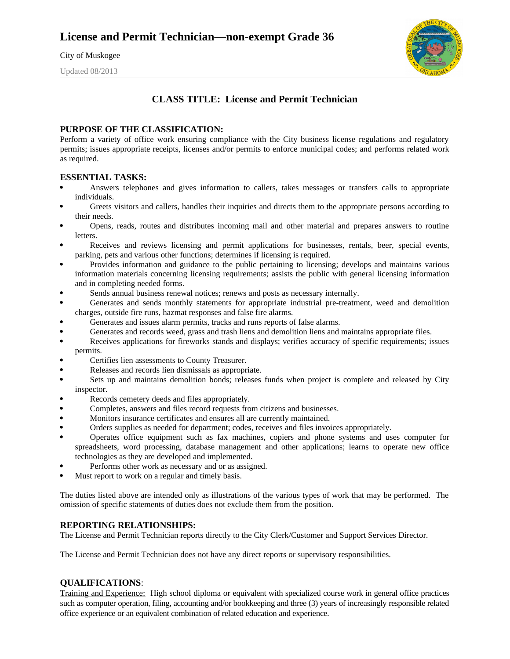City of Muskogee

Updated 08/2013



# **CLASS TITLE: License and Permit Technician**

## **PURPOSE OF THE CLASSIFICATION:**

Perform a variety of office work ensuring compliance with the City business license regulations and regulatory permits; issues appropriate receipts, licenses and/or permits to enforce municipal codes; and performs related work as required.

### **ESSENTIAL TASKS:**

- Answers telephones and gives information to callers, takes messages or transfers calls to appropriate individuals.
- Greets visitors and callers, handles their inquiries and directs them to the appropriate persons according to their needs.
- Opens, reads, routes and distributes incoming mail and other material and prepares answers to routine letters.
- Receives and reviews licensing and permit applications for businesses, rentals, beer, special events, parking, pets and various other functions; determines if licensing is required.
- Provides information and guidance to the public pertaining to licensing; develops and maintains various information materials concerning licensing requirements; assists the public with general licensing information and in completing needed forms.
- Sends annual business renewal notices; renews and posts as necessary internally.
- Generates and sends monthly statements for appropriate industrial pre-treatment, weed and demolition charges, outside fire runs, hazmat responses and false fire alarms.
- Generates and issues alarm permits, tracks and runs reports of false alarms.
- Generates and records weed, grass and trash liens and demolition liens and maintains appropriate files.
- Receives applications for fireworks stands and displays; verifies accuracy of specific requirements; issues permits.
- Certifies lien assessments to County Treasurer.
- Releases and records lien dismissals as appropriate.
- Sets up and maintains demolition bonds; releases funds when project is complete and released by City inspector.
- Records cemetery deeds and files appropriately.
- Completes, answers and files record requests from citizens and businesses.
- Monitors insurance certificates and ensures all are currently maintained.
- Orders supplies as needed for department; codes, receives and files invoices appropriately.
- Operates office equipment such as fax machines, copiers and phone systems and uses computer for spreadsheets, word processing, database management and other applications; learns to operate new office technologies as they are developed and implemented.
- Performs other work as necessary and or as assigned.
- Must report to work on a regular and timely basis.

The duties listed above are intended only as illustrations of the various types of work that may be performed. The omission of specific statements of duties does not exclude them from the position.

#### **REPORTING RELATIONSHIPS:**

The License and Permit Technician reports directly to the City Clerk/Customer and Support Services Director.

The License and Permit Technician does not have any direct reports or supervisory responsibilities.

#### **QUALIFICATIONS**:

Training and Experience: High school diploma or equivalent with specialized course work in general office practices such as computer operation, filing, accounting and/or bookkeeping and three (3) years of increasingly responsible related office experience or an equivalent combination of related education and experience.